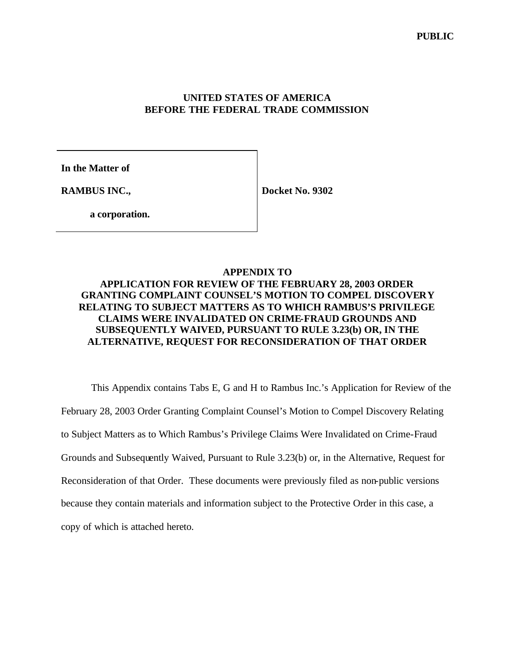## **UNITED STATES OF AMERICA BEFORE THE FEDERAL TRADE COMMISSION**

**In the Matter of**

**RAMBUS INC.,**

**Docket No. 9302**

**a corporation.**

### **APPENDIX TO**

# **APPLICATION FOR REVIEW OF THE FEBRUARY 28, 2003 ORDER GRANTING COMPLAINT COUNSEL'S MOTION TO COMPEL DISCOVERY RELATING TO SUBJECT MATTERS AS TO WHICH RAMBUS'S PRIVILEGE CLAIMS WERE INVALIDATED ON CRIME-FRAUD GROUNDS AND SUBSEQUENTLY WAIVED, PURSUANT TO RULE 3.23(b) OR, IN THE ALTERNATIVE, REQUEST FOR RECONSIDERATION OF THAT ORDER**

This Appendix contains Tabs E, G and H to Rambus Inc.'s Application for Review of the February 28, 2003 Order Granting Complaint Counsel's Motion to Compel Discovery Relating to Subject Matters as to Which Rambus's Privilege Claims Were Invalidated on Crime-Fraud Grounds and Subsequently Waived, Pursuant to Rule 3.23(b) or, in the Alternative, Request for Reconsideration of that Order. These documents were previously filed as non-public versions because they contain materials and information subject to the Protective Order in this case, a copy of which is attached hereto.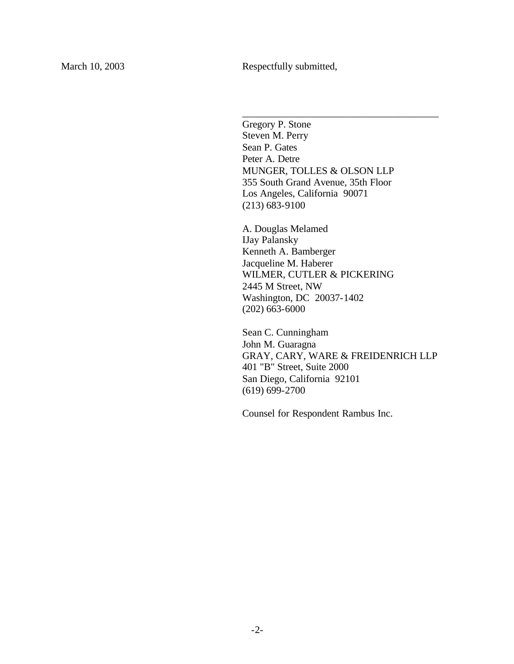Gregory P. Stone Steven M. Perry Sean P. Gates Peter A. Detre MUNGER, TOLLES & OLSON LLP 355 South Grand Avenue, 35th Floor Los Angeles, California 90071 (213) 683-9100

\_\_\_\_\_\_\_\_\_\_\_\_\_\_\_\_\_\_\_\_\_\_\_\_\_\_\_\_\_\_\_\_\_\_\_\_\_\_\_

A. Douglas Melamed IJay Palansky Kenneth A. Bamberger Jacqueline M. Haberer WILMER, CUTLER & PICKERING 2445 M Street, NW Washington, DC 20037-1402 (202) 663-6000

Sean C. Cunningham John M. Guaragna GRAY, CARY, WARE & FREIDENRICH LLP 401 "B" Street, Suite 2000 San Diego, California 92101 (619) 699-2700

Counsel for Respondent Rambus Inc.